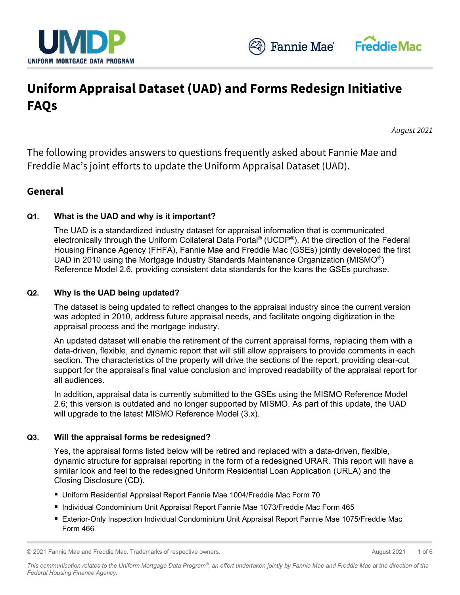

# **Uniform Appraisal Dataset (UAD) and Forms Redesign Initiative FAQs**

*August 2021*

The following provides answers to questions frequently asked about Fannie Mae and Freddie Mac's joint efforts to update the Uniform Appraisal Dataset (UAD).

## **General**

## **Q1. What is the UAD and why is it important?**

The UAD is a standardized industry dataset for appraisal information that is communicated electronically through the Uniform Collateral Data Portal® (UCDP®). At the direction of the Federal Housing Finance Agency (FHFA), Fannie Mae and Freddie Mac (GSEs) jointly developed the first UAD in 2010 using the Mortgage Industry Standards Maintenance Organization (MISMO®) Reference Model 2.6, providing consistent data standards for the loans the GSEs purchase.

#### **Q2. Why is the UAD being updated?**

The dataset is being updated to reflect changes to the appraisal industry since the current version was adopted in 2010, address future appraisal needs, and facilitate ongoing digitization in the appraisal process and the mortgage industry.

An updated dataset will enable the retirement of the current appraisal forms, replacing them with a data-driven, flexible, and dynamic report that will still allow appraisers to provide comments in each section. The characteristics of the property will drive the sections of the report, providing clear-cut support for the appraisal's final value conclusion and improved readability of the appraisal report for all audiences.

In addition, appraisal data is currently submitted to the GSEs using the MISMO Reference Model 2.6; this version is outdated and no longer supported by MISMO. As part of this update, the UAD will upgrade to the latest MISMO Reference Model (3.x).

#### **Q3. Will the appraisal forms be redesigned?**

Yes, the appraisal forms listed below will be retired and replaced with a data-driven, flexible, dynamic structure for appraisal reporting in the form of a redesigned URAR. This report will have a similar look and feel to the redesigned Uniform Residential Loan Application (URLA) and the Closing Disclosure (CD).

- Uniform Residential Appraisal Report Fannie Mae 1004/Freddie Mac Form 70
- Individual Condominium Unit Appraisal Report Fannie Mae 1073/Freddie Mac Form 465
- Exterior-Only Inspection Individual Condominium Unit Appraisal Report Fannie Mae 1075/Freddie Mac Form 466

<sup>© 2021</sup> Fannie Mae and Freddie Mac. Trademarks of respective owners. August 2021 1 of 6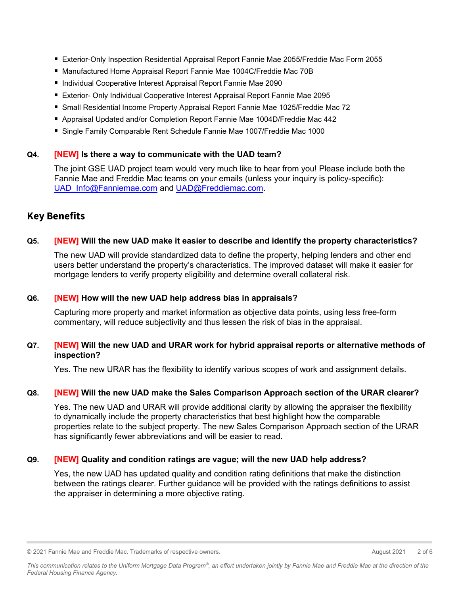- Exterior-Only Inspection Residential Appraisal Report Fannie Mae 2055/Freddie Mac Form 2055
- Manufactured Home Appraisal Report Fannie Mae 1004C/Freddie Mac 70B
- Individual Cooperative Interest Appraisal Report Fannie Mae 2090
- **Exterior- Only Individual Cooperative Interest Appraisal Report Fannie Mae 2095**
- Small Residential Income Property Appraisal Report Fannie Mae 1025/Freddie Mac 72
- Appraisal Updated and/or Completion Report Fannie Mae 1004D/Freddie Mac 442
- Single Family Comparable Rent Schedule Fannie Mae 1007/Freddie Mac 1000

## **Q4. [NEW] Is there a way to communicate with the UAD team?**

The joint GSE UAD project team would very much like to hear from you! Please include both the Fannie Mae and Freddie Mac teams on your emails (unless your inquiry is policy-specific): [UAD\\_Info@Fanniemae.com](mailto:UAD_Info@Fanniemae.com) and [UAD@Freddiemac.com.](mailto:UAD@Freddiemac.com)

# **Key Benefits**

## **Q5. [NEW] Will the new UAD make it easier to describe and identify the property characteristics?**

The new UAD will provide standardized data to define the property, helping lenders and other end users better understand the property's characteristics. The improved dataset will make it easier for mortgage lenders to verify property eligibility and determine overall collateral risk.

#### **Q6. [NEW] How will the new UAD help address bias in appraisals?**

Capturing more property and market information as objective data points, using less free-form commentary, will reduce subjectivity and thus lessen the risk of bias in the appraisal.

#### **Q7. [NEW] Will the new UAD and URAR work for hybrid appraisal reports or alternative methods of inspection?**

Yes. The new URAR has the flexibility to identify various scopes of work and assignment details.

#### **Q8. [NEW] Will the new UAD make the Sales Comparison Approach section of the URAR clearer?**

Yes. The new UAD and URAR will provide additional clarity by allowing the appraiser the flexibility to dynamically include the property characteristics that best highlight how the comparable properties relate to the subject property. The new Sales Comparison Approach section of the URAR has significantly fewer abbreviations and will be easier to read.

#### **Q9. [NEW] Quality and condition ratings are vague; will the new UAD help address?**

Yes, the new UAD has updated quality and condition rating definitions that make the distinction between the ratings clearer. Further guidance will be provided with the ratings definitions to assist the appraiser in determining a more objective rating.

© 2021 Fannie Mae and Freddie Mac. Trademarks of respective owners. August 2021 2 of 6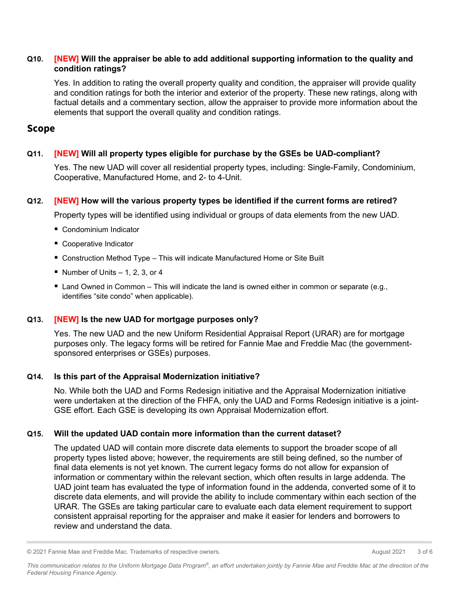#### **Q10. [NEW] Will the appraiser be able to add additional supporting information to the quality and condition ratings?**

Yes. In addition to rating the overall property quality and condition, the appraiser will provide quality and condition ratings for both the interior and exterior of the property. These new ratings, along with factual details and a commentary section, allow the appraiser to provide more information about the elements that support the overall quality and condition ratings.

## **Scope**

## **Q11. [NEW] Will all property types eligible for purchase by the GSEs be UAD-compliant?**

Yes. The new UAD will cover all residential property types, including: Single-Family, Condominium, Cooperative, Manufactured Home, and 2- to 4-Unit.

## **Q12. [NEW] How will the various property types be identified if the current forms are retired?**

Property types will be identified using individual or groups of data elements from the new UAD.

- Condominium Indicator
- Cooperative Indicator
- Construction Method Type This will indicate Manufactured Home or Site Built
- Number of Units  $-1$ , 2, 3, or 4
- Land Owned in Common This will indicate the land is owned either in common or separate (e.g., identifies "site condo" when applicable).

## **Q13. [NEW] Is the new UAD for mortgage purposes only?**

Yes. The new UAD and the new Uniform Residential Appraisal Report (URAR) are for mortgage purposes only. The legacy forms will be retired for Fannie Mae and Freddie Mac (the governmentsponsored enterprises or GSEs) purposes.

## **Q14. Is this part of the Appraisal Modernization initiative?**

No. While both the UAD and Forms Redesign initiative and the Appraisal Modernization initiative were undertaken at the direction of the FHFA, only the UAD and Forms Redesign initiative is a joint-GSE effort. Each GSE is developing its own Appraisal Modernization effort.

## **Q15. Will the updated UAD contain more information than the current dataset?**

The updated UAD will contain more discrete data elements to support the broader scope of all property types listed above; however, the requirements are still being defined, so the number of final data elements is not yet known. The current legacy forms do not allow for expansion of information or commentary within the relevant section, which often results in large addenda. The UAD joint team has evaluated the type of information found in the addenda, converted some of it to discrete data elements, and will provide the ability to include commentary within each section of the URAR. The GSEs are taking particular care to evaluate each data element requirement to support consistent appraisal reporting for the appraiser and make it easier for lenders and borrowers to review and understand the data.

<sup>© 2021</sup> Fannie Mae and Freddie Mac. Trademarks of respective owners. August 2021 August 2021 3 of 6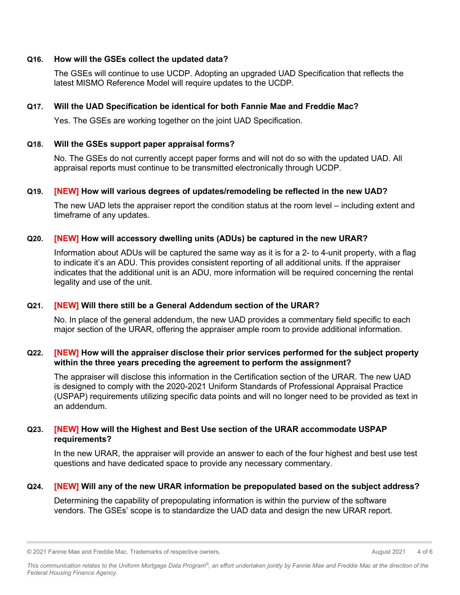#### **Q16. How will the GSEs collect the updated data?**

The GSEs will continue to use UCDP. Adopting an upgraded UAD Specification that reflects the latest MISMO Reference Model will require updates to the UCDP.

#### **Q17. Will the UAD Specification be identical for both Fannie Mae and Freddie Mac?**

Yes. The GSEs are working together on the joint UAD Specification.

#### **Q18. Will the GSEs support paper appraisal forms?**

No. The GSEs do not currently accept paper forms and will not do so with the updated UAD. All appraisal reports must continue to be transmitted electronically through UCDP.

#### **Q19. [NEW] How will various degrees of updates/remodeling be reflected in the new UAD?**

The new UAD lets the appraiser report the condition status at the room level – including extent and timeframe of any updates.

#### **Q20. [NEW] How will accessory dwelling units (ADUs) be captured in the new URAR?**

Information about ADUs will be captured the same way as it is for a 2- to 4-unit property, with a flag to indicate it's an ADU. This provides consistent reporting of all additional units. If the appraiser indicates that the additional unit is an ADU, more information will be required concerning the rental legality and use of the unit.

#### **Q21. [NEW] Will there still be a General Addendum section of the URAR?**

No. In place of the general addendum, the new UAD provides a commentary field specific to each major section of the URAR, offering the appraiser ample room to provide additional information.

#### **Q22. [NEW] How will the appraiser disclose their prior services performed for the subject property within the three years preceding the agreement to perform the assignment?**

The appraiser will disclose this information in the Certification section of the URAR. The new UAD is designed to comply with the 2020-2021 Uniform Standards of Professional Appraisal Practice (USPAP) requirements utilizing specific data points and will no longer need to be provided as text in an addendum.

#### **Q23. [NEW] How will the Highest and Best Use section of the URAR accommodate USPAP requirements?**

In the new URAR, the appraiser will provide an answer to each of the four highest and best use test questions and have dedicated space to provide any necessary commentary.

#### **Q24. [NEW] Will any of the new URAR information be prepopulated based on the subject address?**

Determining the capability of prepopulating information is within the purview of the software vendors. The GSEs' scope is to standardize the UAD data and design the new URAR report.

<sup>© 2021</sup> Fannie Mae and Freddie Mac. Trademarks of respective owners. August 2021 4 of 6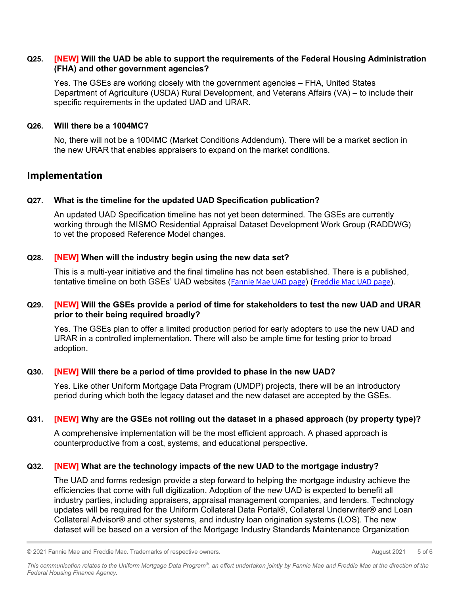#### **Q25. [NEW] Will the UAD be able to support the requirements of the Federal Housing Administration (FHA) and other government agencies?**

Yes. The GSEs are working closely with the government agencies – FHA, United States Department of Agriculture (USDA) Rural Development, and Veterans Affairs (VA) – to include their specific requirements in the updated UAD and URAR.

#### **Q26. Will there be a 1004MC?**

No, there will not be a 1004MC (Market Conditions Addendum). There will be a market section in the new URAR that enables appraisers to expand on the market conditions.

## **Implementation**

## **Q27. What is the timeline for the updated UAD Specification publication?**

An updated UAD Specification timeline has not yet been determined. The GSEs are currently working through the MISMO Residential Appraisal Dataset Development Work Group (RADDWG) to vet the proposed Reference Model changes.

#### **Q28. [NEW] When will the industry begin using the new data set?**

This is a multi-year initiative and the final timeline has not been established. There is a published, tentative timeline on both GSEs' UAD websites ([Fannie Mae UAD page](https://singlefamily.fanniemae.com/delivering/uniform-mortgage-data-program/uniform-appraisal-dataset)) ([Freddie Mac UAD page](https://sf.freddiemac.com/tools-learning/uniform-mortgage-data-program/uad)).

## **Q29. [NEW] Will the GSEs provide a period of time for stakeholders to test the new UAD and URAR prior to their being required broadly?**

Yes. The GSEs plan to offer a limited production period for early adopters to use the new UAD and URAR in a controlled implementation. There will also be ample time for testing prior to broad adoption.

#### **Q30. [NEW] Will there be a period of time provided to phase in the new UAD?**

Yes. Like other Uniform Mortgage Data Program (UMDP) projects, there will be an introductory period during which both the legacy dataset and the new dataset are accepted by the GSEs.

#### **Q31. [NEW] Why are the GSEs not rolling out the dataset in a phased approach (by property type)?**

A comprehensive implementation will be the most efficient approach. A phased approach is counterproductive from a cost, systems, and educational perspective.

#### **Q32. [NEW] What are the technology impacts of the new UAD to the mortgage industry?**

The UAD and forms redesign provide a step forward to helping the mortgage industry achieve the efficiencies that come with full digitization. Adoption of the new UAD is expected to benefit all industry parties, including appraisers, appraisal management companies, and lenders. Technology updates will be required for the Uniform Collateral Data Portal®, Collateral Underwriter® and Loan Collateral Advisor® and other systems, and industry loan origination systems (LOS). The new dataset will be based on a version of the Mortgage Industry Standards Maintenance Organization

<sup>© 2021</sup> Fannie Mae and Freddie Mac. Trademarks of respective owners. August 2021 5 of 6